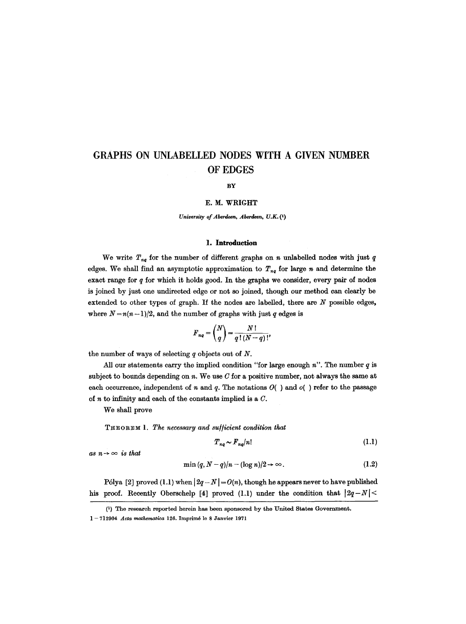# **GRAPHS ON UNLABELLED NODES WITH A GIVEN NUMBER OF EDGES**

#### **BY**

#### E. M. WRIGHT

*University of Aberdeen, Aberdeen, U.K. (1)* 

# **1. Introduction**

We write  $T_{nq}$  for the number of different graphs on n unlabelled nodes with just q edges. We shall find an asymptotic approximation to  $T_{nq}$  for large n and determine the exact range for  $q$  for which it holds good. In the graphs we consider, every pair of nodes is joined by just one undirected edge or not so joined, though our method can clearly be extended to other types of graph. If the nodes are labelled, there are  $N$  possible edges, where  $N = n(n-1)/2$ , and the number of graphs with just q edges is

$$
F_{nq} = \binom{N}{q} = \frac{N!}{q!(N-q)!},
$$

the number of ways of selecting  $q$  objects out of  $N$ .

All our statements carry the implied condition "for large enough  $n$ ". The number  $q$  is subject to bounds depending on  $n$ . We use  $C$  for a positive number, not always the same at each occurrence, independent of n and q. The notations  $O($  ) and  $o($  ) refer to the passage of  $n$  to infinity and each of the constants implied is a  $C$ .

We shall prove

THEOREM 1. *The necessary and su//icient condition that* 

$$
T_{nq} \sim F_{nq}/n! \tag{1.1}
$$

as  $n \rightarrow \infty$  *is that* 

$$
\min\left(q, N-q\right)/n - (\log n)/2 \to \infty. \tag{1.2}
$$

P6lya [2] proved (1.1) when  $|2q - N| = O(n)$ , though he appears never to have published his proof. Recently Oberschelp [4] proved (1.1) under the condition that  $|2q-N|$ 

<sup>(</sup>i) The research reported herein has been sponsored by the United States Government.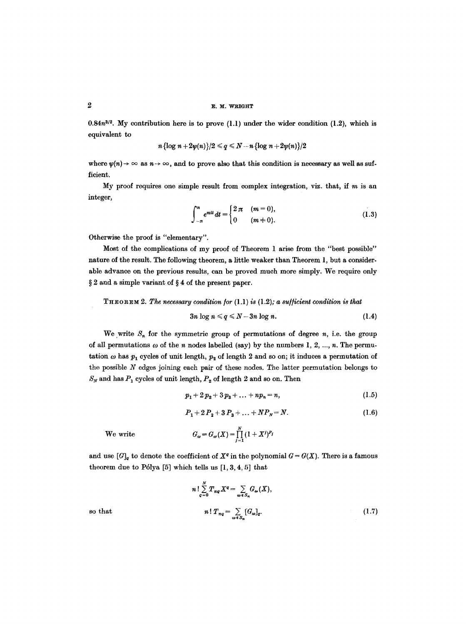$0.84n^{3/2}$ . My contribution here is to prove  $(1.1)$  under the wider condition  $(1.2)$ , which is equivalent to

$$
n\left\{\log n+2\psi(n)\right\}/2\leqslant q\leqslant N-n\left\{\log n+2\psi(n)\right\}/2
$$

where  $\psi(n) \to \infty$  as  $n \to \infty$ , and to prove also that this condition is necessary as well as sufficient.

My proof requires one simple result from complex integration, viz. that, if  $m$  is an integer,

$$
\int_{-\pi}^{\pi} e^{mt} dt = \begin{cases} 2 \pi & (m = 0), \\ 0 & (m \neq 0). \end{cases}
$$
 (1.3)

Otherwise the proof is "elementary".

Most of the complications of my proof of Theorem 1 arise from the "best possible" nature of the result. The following theorem, a little weaker than Theorem 1, but a considerable advance on the previous results, can be proved much more simply. We require only  $\S 2$  and a simple variant of  $\S 4$  of the present paper.

THeOReM *2. The necessary condition/or* (1.1) *is* (1.2); *a su//icient condition is that* 

$$
3n \log n \leqslant q \leqslant N-3n \log n. \tag{1.4}
$$

We write  $S_n$  for the symmetric group of permutations of degree *n*, i.e. the group of all permutations  $\omega$  of the n nodes labelled (say) by the numbers 1, 2, ..., n. The permutation  $\omega$  has  $p_1$  cycles of unit length,  $p_2$  of length 2 and so on; it induces a permutation of the possible  $N$  edges joining each pair of these nodes. The latter permutation belongs to  $S_N$  and has  $P_1$  cycles of unit length,  $P_2$  of length 2 and so on. Then

$$
p_1 + 2 p_2 + 3 p_3 + \ldots + n p_n = n, \qquad (1.5)
$$

$$
P_1 + 2P_2 + 3P_3 + \dots + NP_N = N. \tag{1.6}
$$

We write

$$
G_{\omega}=G_{\omega}(X)=\prod_{j=1}^N (1+X^j)^{P_j}
$$

and use  $[G]_q$  to denote the coefficient of  $X^q$  in the polynomial  $G = G(X)$ . There is a famous theorem due to Pólya  $[5]$  which tells us  $[1, 3, 4, 5]$  that

so that  
\n
$$
n! \sum_{q=0}^{N} T_{nq} X^{q} = \sum_{\omega \in S_{n}} G_{\omega}(X),
$$
\n
$$
n! T_{nq} = \sum_{\omega \in S_{n}} [G_{\omega}]_{q}.
$$
\n(1.7)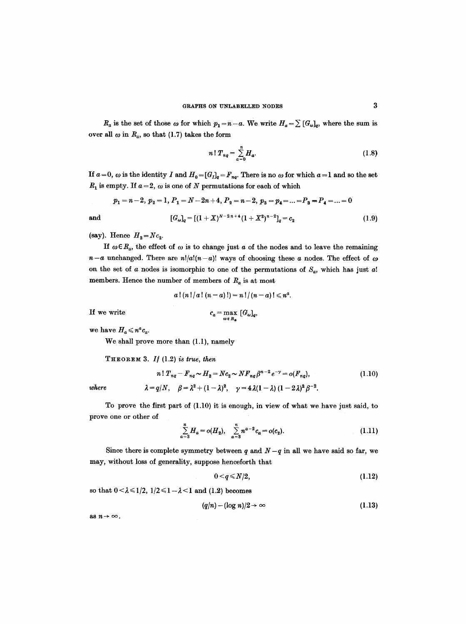$R_a$  is the set of those  $\omega$  for which  $p_1 = n - a$ . We write  $H_a = \sum [G_{\omega}]_q$ , where the sum is over all  $\omega$  in  $R_a$ , so that (1.7) takes the form

$$
n! T_{nq} = \sum_{a=0}^{n} H_a.
$$
 (1.8)

If  $a=0$ ,  $\omega$  is the identity I and  $H_0=[G_I]_q=F_{nq}$ . There is no  $\omega$  for which  $a=1$  and so the set  $R_1$  is empty. If  $a = 2$ ,  $\omega$  is one of N permutations for each of which

$$
p_1=n-2, p_2=1, P_1=N-2n+4, P_2=n-2, p_3=p_4=...=P_3=P_4=...=0
$$

and 
$$
[G_{\omega}]_q = [(1+X)^{N-2n+4}(1+X^2)^{n-2}]_q = c_2
$$
 (1.9)

(say). Hence  $H_2 = Nc_2$ .

If  $\omega \in R_a$ , the effect of  $\omega$  is to change just a of the nodes and to leave the remaining  $n-a$  unchanged. There are  $n!/a!(n-a)!$  ways of choosing these a nodes. The effect of  $\omega$ on the set of  $a$  nodes is isomorphic to one of the permutations of  $S_a$ , which has just  $a!$ members. Hence the number of members of  $R_a$  is at most

$$
a\,! (n\,! / a\,! (n-a)\!) = n\,! / (n-a)\,! \leqslant n^a.
$$

If we write

$$
c_a = \max_{\omega \in R_a} [G_{\omega}]_q,
$$

we have  $H_a \leqslant n^a c_a$ .

We shall prove more than (1.1), namely

THEOREM 3. *If* (1.2) *is true, then* 

$$
n! T_{nq} - F_{nq} \sim H_2 = Nc_2 \sim NF_{nq} \beta^{n-2} e^{-\gamma} = o(F_{nq}),
$$
\n
$$
\lambda = q/N, \quad \beta = \lambda^2 + (1 - \lambda)^2, \quad \gamma = 4\lambda(1 - \lambda) (1 - 2\lambda)^2 \beta^{-2}.
$$
\n(1.10)

To prove the first part of (1.10) it is enough, in view of what we have just said, to prove one or other of

$$
\sum_{a=3}^{n} H_a = o(H_2), \quad \sum_{a=3}^{n} n^{a-2} c_a = o(c_2).
$$
 (1.11)

Since there is complete symmetry between q and  $N-q$  in all we have said so far, we may, without loss of generality, suppose henceforth that

$$
0 \leq q \leq N/2, \tag{1.12}
$$

so that  $0 < \lambda \leq 1/2$ ,  $1/2 \leq 1 - \lambda < 1$  and (1.2) becomes

$$
(q/n) - (\log n)/2 \to \infty \tag{1.13}
$$

as  $n \rightarrow \infty$ .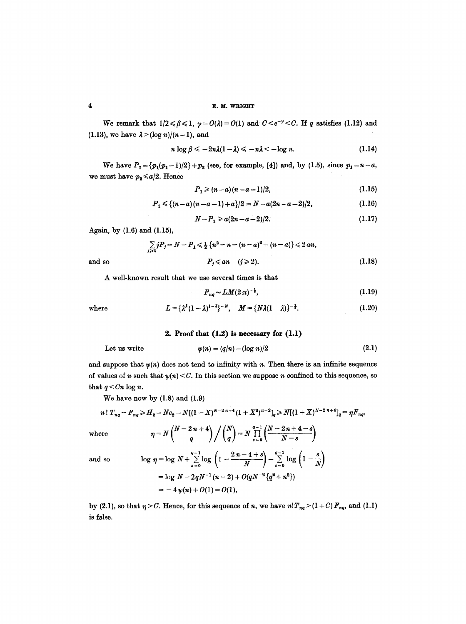We remark that  $1/2 \le \beta \le 1$ ,  $\gamma = O(\lambda) = O(1)$  and  $C \le e^{-\gamma} \le C$ . If q satisfies (1.12) and (1.13), we have  $\lambda > (\log n)/(n-1)$ , and

$$
n \log \beta \leqslant -2n\lambda(1-\lambda) \leqslant -n\lambda \leqslant -\log n. \tag{1.14}
$$

We have  $P_1 = \{p_1(p_1-1)/2\} + p_2$  (see, for example, [4]) and, by (1.5), since  $p_1 = n-a$ , we must have  $p_2 \leq a/2$ . Hence

$$
P_1 \geq (n-a)(n-a-1)/2, \tag{1.15}
$$

$$
P_1 \leq \{(n-a)(n-a-1)+a\}/2 = N - a(2n-a-2)/2, \tag{1.16}
$$

$$
N-P_1 \geqslant a(2n-a-2)/2. \tag{1.17}
$$

Again, by (1.6) and (1.15),

$$
\sum_{j\geq 2} j P_j = N - P_1 \leq \frac{1}{2} \{n^2 - n - (n - a)^2 + (n - a)\} \leq 2 a n,
$$
  
and so  

$$
P_j \leq a n \quad (j \geq 2).
$$
 (1.18)

A well-known result that we use several times is that

$$
F_{nq} \sim LM(2\,\pi)^{-\frac{1}{2}},\tag{1.19}
$$

where 
$$
L = {\lambda^{\lambda}(1-\lambda)^{1-\lambda}}^{-N}, \quad M = {\lambda\lambda(1-\lambda)}^{-\frac{1}{2}}.
$$
 (1.20)

## 2. **Proof that** (1.2) is necessary for (1.1)

Let us write 
$$
\psi(n) = (q/n) - (\log n)/2 \tag{2.1}
$$

and suppose that  $v(n)$  does not tend to infinity with n. Then there is an infinite sequence of values of n such that  $\psi(n) < C$ . In this section we suppose n confined to this sequence, so that  $q < C_n \log n$ .

We have now by  $(1.8)$  and  $(1.9)$ 

$$
n! T_{nq} - F_{nq} \ge H_2 = Nc_2 = N[(1+X)^{N-2n+4}(1+X^2)^{n-2}]_q \ge N[(1+X)^{N-2n+4}]_q = \eta F_{nq},
$$
  
where  

$$
\eta = N\binom{N-2n+4}{q} / \binom{N}{q} = N \prod_{s=0}^{q-1} \binom{N-2n+4-s}{N-s}
$$

d so 
$$
\log \eta = \log N + \sum_{s=0}^{q-1} \log \left( 1 - \frac{2n - 4 + s}{N} \right) - \sum_{s=0}^{q-1} \log \left( 1 - \frac{s}{N} \right)
$$

$$
= \log N - 2qN^{-1}(n-2) + O(qN^{-2}\{q^{2} + n^{2}\})
$$

$$
= -4 \psi(n) + O(1) = O(1),
$$

by (2.1), so that  $\eta > C$ . Hence, for this sequence of *n*, we have  $n!T_{nq}$  > (1 + C)  $F_{nq}$ , and (1.1) is false.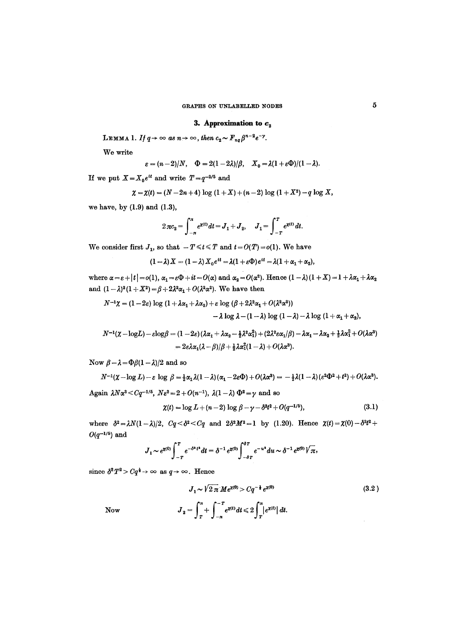## **3. Approximation to**  $c_2$

**LEMMA** 1. *If*  $q \rightarrow \infty$  *as*  $n \rightarrow \infty$ *, then*  $c_2 \sim F_{nq} \beta^{n-2} e^{-\gamma}$ *.* 

We write

$$
\varepsilon = (n-2)/N
$$
,  $\Phi = 2(1-2\lambda)/\beta$ ,  $X_0 = \lambda(1+\varepsilon\Phi)/(1-\lambda)$ .

If we put  $X=X_0e^{it}$  and write  $T=q^{-2/5}$  and

$$
\chi = \chi(t) = (N-2n+4) \log (1+X) + (n-2) \log (1+X^2) - q \log X,
$$

we have, by  $(1.9)$  and  $(1.3)$ ,

$$
2\pi c_2 = \int_{-\pi}^{\pi} e^{\mathsf{x}^{(t)}} dt = J_1 + J_2, \quad J_1 = \int_{-\pi}^{\pi} e^{\mathsf{x}^{(t)}} dt.
$$

We consider first  $J_1$ , so that  $-T \leq t \leq T$  and  $t = O(T) = o(1)$ . We have

$$
(1-\lambda) X = (1-\lambda) X_0 e^{it} = \lambda (1 + \varepsilon \Phi) e^{it} = \lambda (1 + \alpha_1 + \alpha_2),
$$

where  $\alpha = \varepsilon + |t| = o(1)$ ,  $\alpha_1 = \varepsilon \Phi + it = O(\alpha)$  and  $\alpha_2 = O(\alpha^2)$ . Hence  $(1 - \lambda)(1 + X) = 1 + \lambda \alpha_1 + \lambda \alpha_2$ and  $(1 - \lambda)^2 (1 + X^2) = \beta + 2\lambda^2 \alpha_1 + O(\lambda^2 \alpha^2)$ . We have then

$$
N^{-1}\chi = (1-2\varepsilon)\log(1+\lambda\alpha_1+\lambda\alpha_2)+\varepsilon\log(\beta+2\lambda^2\alpha_1+O(\lambda^2\alpha^2))
$$
  
 
$$
-\lambda\log\lambda-(1-\lambda)\log(1-\lambda)-\lambda\log(1+\alpha_1+\alpha_2),
$$

$$
N^{-1}(\chi-\log L)-\varepsilon\log\beta=(1-2\varepsilon)(\lambda\alpha_1+\lambda\alpha_2-\frac{1}{2}\lambda^2\alpha_1^2)+(2\lambda^2\varepsilon\alpha_1/\beta)-\lambda\alpha_1-\lambda\alpha_2+\frac{1}{2}\lambda\alpha_1^2+O(\lambda\alpha^3)\\=2\varepsilon\lambda\alpha_1(\lambda-\beta)/\beta+\frac{1}{2}\lambda\alpha_1^2(1-\lambda)+O(\lambda\alpha^3).
$$

Now  $\beta - \lambda = \Phi \beta (1 - \lambda)/2$  and so

$$
N^{-1}(\chi - \log L) - \varepsilon \log \beta = \frac{1}{2}\alpha_1 \lambda (1 - \lambda)(\alpha_1 - 2\varepsilon \Phi) + O(\lambda \alpha^3) = -\frac{1}{2}\lambda (1 - \lambda)(\varepsilon^2 \Phi^2 + t^2) + O(\lambda \alpha^3).
$$
  
Again  $\lambda N\alpha^3 < Cq^{-1/5}$ ,  $N\varepsilon^2 = 2 + O(n^{-1})$ ,  $\lambda(1 - \lambda)\Phi^2 = \gamma$  and so

$$
\chi(t) = \log L + (n-2) \log \beta - \gamma - \delta^2 t^2 + O(q^{-1/5}), \tag{3.1}
$$

where  $\delta^2 = \lambda N(1-\lambda)/2$ ,  $Cq < \delta^2 < Cq$  and  $2\delta^2 M^2 = 1$  by (1.20). Hence  $\chi(t) = \chi(0) - \delta^2 t^2 +$  $O(q^{-1/5})$  and

$$
J_1 \sim e^{\chi(0)} \int_{-T}^T e^{-\delta^* t^*} dt = \delta^{-1} e^{\chi(0)} \int_{-\delta T}^{\delta T} e^{-u^*} du \sim \delta^{-1} e^{\chi(0)} \sqrt{\pi},
$$

since  $\delta^2 T^2 > Cq^{\frac{1}{2}} \rightarrow \infty$  as  $q \rightarrow \infty$ . Hence

Now 
$$
J_1 \sim \sqrt{2 \pi} M e^{\chi(0)} > C q^{-\frac{1}{2}} e^{\chi(0)}
$$

$$
J_2 = \int_{T}^{\pi} + \int_{-\pi}^{-T} e^{\chi(t)} dt \le 2 \int_{T}^{\pi} |e^{\chi(t)}| dt.
$$
 (3.2)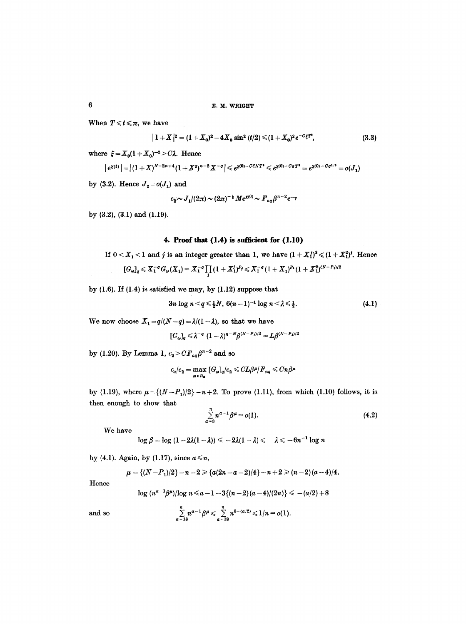When  $T \leq t \leq \pi$ , we have

$$
|1+X|^2 = (1+X_0)^2 - 4X_0 \sin^2(t/2) \le (1+X_0)^2 e^{-C\xi T^4}, \tag{3.3}
$$

where  $\xi = X_0(1 + X_0)^{-2} > C\lambda$ . Hence

$$
|e^{\chi(t)}| = |(1+X)^{N-2n+4}(1+X^2)^{n-2}X^{-q}| \le e^{\chi(0)-C\xi NT^2} \le e^{\chi(0)-CqT^4} = e^{\chi(0)-Cq^{1/5}} = o(J_1)
$$

by (3.2). Hence  $J_2 = o(J_1)$  and

$$
c_2 \sim J_1/(2\pi) \sim (2\pi)^{-\frac{1}{2}} Me^{\chi(0)} \sim F_{nq} \beta^{n-2} e^{-\gamma}
$$

by (3.2), (3.1) and (1.19).

# **4. Proof that (1.4) is sufficient for (1.10)**

If 
$$
0 < X_1 < 1
$$
 and *j* is an integer greater than 1, we have  $(1 + X_1^j)^2 \leq (1 + X_1^2)^j$ . Hence

$$
[G_\omega]_q \leq X_1^{-q} G_\omega(X_1) = X_1^{-q} \prod_j (1+X_1^j)^{P_j} \leq X_1^{-q} (1+X_1)^{P_1} (1+X_1^2)^{(N-P_1)/2}
$$

by  $(1.6)$ . If  $(1.4)$  is satisfied we may, by  $(1.12)$  suppose that

$$
3n \log n < q \leq \frac{1}{2}N, 6(n-1)^{-1} \log n < \lambda \leq \frac{1}{2}.
$$
 (4.1)

We now choose  $X_1 = q/(N-q) = \lambda/(1-\lambda)$ , so that we have

$$
[G_{\omega}]_q \leq \lambda^{-q} (1-\lambda)^{q-N} \beta^{(N-P_1)/2} = L \beta^{(N-P_1)/2}
$$

by (1.20). By Lemma 1,  $c_2 > CF_{nq}\beta^{n-2}$  and so

$$
c_a/c_2 = \max_{\omega \in R_a} [G_{\omega}]_q/c_2 \leqslant CL\beta^{\mu}/F_{nq} \leqslant Cn\beta^{\mu}
$$

by (1.19), where  $\mu = \{(N-P_1)/2\} - n+2$ . To prove (1.11), from which (1.10) follows, it is then enough to show that

$$
\sum_{a=3}^{n} n^{a-1} \beta^{\mu} = o(1).
$$
 (4.2)

We have

$$
\log \beta = \log (1 - 2\lambda(1 - \lambda)) \leq -2\lambda(1 - \lambda) \leq -\lambda \leq -6n^{-1} \log n
$$

by (4.1). Again, by (1.17), since  $a \le n$ ,

$$
\mu = \{(N-P_1)/2\} - n + 2 \geq \{a(2n-a-2)/4\} - n + 2 \geq (n-2)(a-4)/4.
$$

Hence

$$
\log (n^{a-1}\beta^{\mu})/\log n \leq a-1-3\{(n-2)(a-4)/(2n)\}\leq -(a/2)+8
$$

and so

$$
\sum_{a=18}^n n^{a-1} \beta^{\mu} \leq \sum_{a=18}^n n^{8-(a/2)} \leq 1/n = o(1).
$$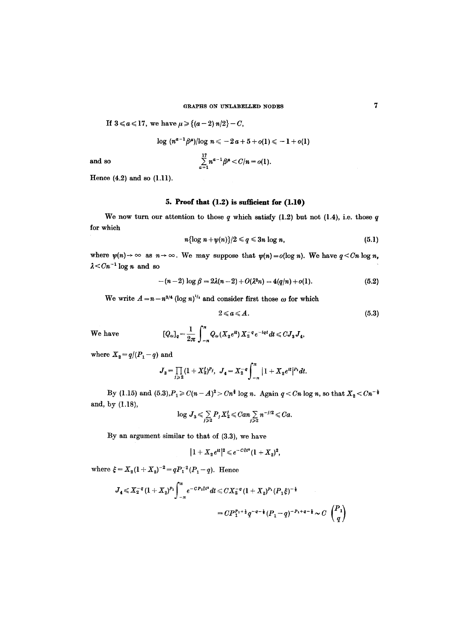If 
$$
3 \leq a \leq 17
$$
, we have  $\mu \geq (a-2) n/2 - C$ ,

$$
\log (n^{a-1}\beta^{\mu})/\log n \leq -2a + 5 + o(1) \leq -1 + o(1)
$$

and so 
$$
\sum_{a=1}^{17} n^{a-1} \beta^{\mu} < C/n = o(1).
$$

Hence (4.2) and so (1.11).

# **5. Proof that (1.2) is sufficient for (1.10)**

We now turn our attention to those  $q$  which satisfy (1.2) but not (1.4), i.e. those  $q$ for which

$$
n\{\log n+\psi(n)\}/2\leqslant q\leqslant 3n\log n,\tag{5.1}
$$

where  $\psi(n) \to \infty$  as  $n \to \infty$ . We may suppose that  $\psi(n) = o(\log n)$ . We have  $q \leq Cn \log n$ ,  $\lambda$  <  $Cn^{-1}$  log n and so

$$
-(n-2)\log \beta = 2\lambda(n-2) + O(\lambda^2 n) = 4(q/n) + o(1). \tag{5.2}
$$

We write  $A = n - n^{3/4} (\log n)^{1/2}$  and consider first those  $\omega$  for which

$$
2 \leqslant a \leqslant A. \tag{5.3}
$$

 $We have$ 

$$
[Q_{\omega}]_q = \frac{1}{2\pi} \int_{-\pi}^{\pi} Q_{\omega}(X_2 e^{it}) X_2^{-q} e^{-iqt} dt \leq C J_3 J_4,
$$

where  $X_2 = q/(P_1 - q)$  and

$$
J_3 = \prod_{j\geq 2} (1+X_2^j)^{p_j}, \ J_4 = X_2^{-q} \int_{-\pi}^{\pi} |1+X_2 e^{it}|^{p_1} dt.
$$

By (1.15) and  $(5.3), P_1 \ge C(n-A)^2 > Cn^{\frac{3}{2}}$  log n. Again  $q < Cn$  log n, so that  $X_2 < Cn^{-\frac{1}{2}}$ and, by (1.18),

$$
\log J_3 \leqslant \sum_{j\geqslant 2} P_j X_2^j \leqslant Can \sum_{j\geqslant 2} n^{-j/2} \leqslant Ca.
$$

By an argument similar to that of (3.3), we have

$$
|1+X_2e^{it}|^2\leqslant e^{-C\xi t^2}(1+X_2)^2,
$$

where  $\xi = X_2(1+X_2)^{-2} = qP_1^{-2}(P_1-q)$ . Hence

$$
J_4 \leq X_2^{-q} (1+X_2)^{P_1} \int_{-\pi}^{\pi} e^{-C P_1 \xi t^2} dt \leq C X_2^{-q} (1+X_2)^{P_1} (P_1 \xi)^{-\frac{1}{2}}
$$
  
= 
$$
C P_1^{P_1+\frac{1}{2}} q^{-q-\frac{1}{2}} (P_1 - q)^{-P_1+q-\frac{1}{2}} \sim C \begin{pmatrix} P_1 \\ q \end{pmatrix}
$$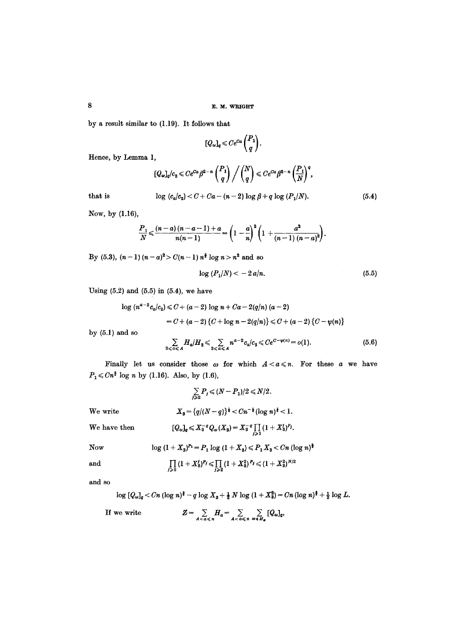by a result similar to (1.19). It follows that

$$
[Q_\omega]_q \leqslant Ce^{Ca}\binom{P_1}{q}.
$$

Hence, by Lemma 1,

$$
[Q_\omega]_q/c_2 \leqslant Ce^{Ca}\beta^{2-n}\left(\frac{P_1}{q}\right)\Big/\left(\frac{N}{q}\right) \leqslant Ce^{Ca}\beta^{2-n}\left(\frac{P_1}{N}\right)^q,
$$

that is

$$
\log (c_a/c_2) < C + Ca - (n-2) \log \beta + q \log (P_1/N).
$$

Now, by (1.16),

$$
\frac{P_1}{N} \leqslant \frac{(n-a)(n-a-1)+a}{n(n-1)} = \left(1-\frac{a}{n}\right)^2\left(1+\frac{a^2}{(n-1)(n-a)^2}\right).
$$

By (5.3),  $(n-1)$   $(n-a)^2 > C(n-1)$   $n^{\frac{3}{2}}$  log  $n > n^2$  and so

$$
\log\,(P_1/N) < -2\,a/n.\tag{5.5}
$$

(5.4)

Using  $(5.2)$  and  $(5.5)$  in  $(5.4)$ , we have

$$
\log (n^{a-2}c_a/c_2) \le C + (a-2)\log n + Ca - 2(q/n)(a-2)
$$
  
= C + (a-2) {C + \log n - 2(q/n)} \le C + (a-2) {C - \psi(n)}

by (5.1) and so

$$
\sum_{3 \leq a \leq A} H_{a}/H_{2} \leq \sum_{3 \leq a \leq A} n^{a-2} c_{a}/c_{2} \leq Ce^{C-\psi(n)} = o(1).
$$
 (5.6)

Finally let us consider those  $\omega$  for which  $A < a \leqslant n$ . For these a we have  $P_1 \leq C n^{\frac{3}{2}} \log n$  by (1.16). Also, by (1.6),

$$
\sum_{j\geqslant 2} P_j \leqslant (N-P_1)/2 \leqslant N/2.
$$
  
We write  

$$
X_3 = \{q/(N-q)\}^{\frac{1}{2}} < Cn^{-\frac{1}{2}}(\log n)^{\frac{1}{2}} < 1.
$$
  
We have then  

$$
[Q_\omega]_q \leqslant X_3^{-q} Q_\omega(X_3) = X_3^{-q} \prod_{j\geqslant 1} (1 + X_3^j)^{p_j}.
$$
  
Now  

$$
\log (1 + X_3)^{p_1} = P_1 \log (1 + X_3) \leqslant P_1 X_3 < Cn \ (\log n)^{\frac{3}{2}}
$$

and

$$
\prod_{j\geqslant 2} (1+X_3')^{P_j} \leqslant \prod_{j\geqslant 2} (1+X_3^2)^{P_j} \leqslant (1+X_3^2)^{N/2}
$$

and so

$$
\log [Q_{\omega}]_q < Cn \left(\log n\right)^{\frac{3}{2}} - q \log X_3 + \frac{1}{2} N \log \left(1 + X_3^2\right) = Cn \left(\log n\right)^{\frac{3}{2}} + \frac{1}{2} \log L.
$$

If wewrite  $Z = \sum_{A < a \leqslant n} H_a = \sum_{A < a \leqslant n} \sum_{\omega \in H_a} [Q_{\omega}]_q,$